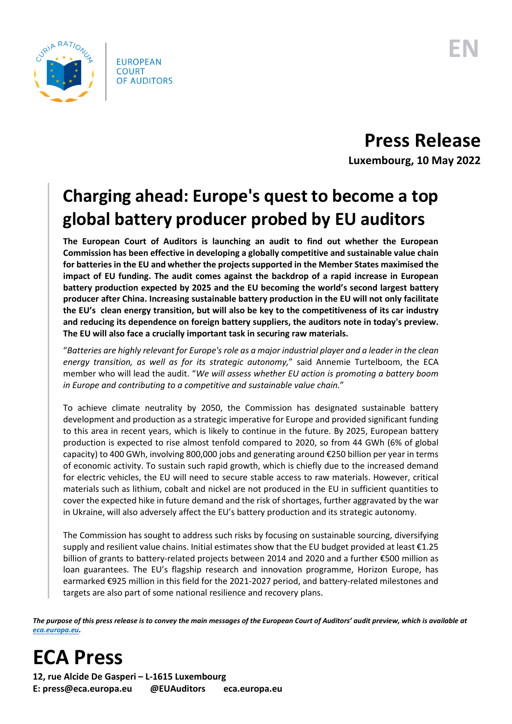

**Press Release Luxembourg, 10 May 2022**

## **Charging ahead: Europe's quest to become a top global battery producer probed by EU auditors**

**The European Court of Auditors is launching an audit to find out whether the European Commission has been effective in developing a globally competitive and sustainable value chain for batteries in the EU and whether the projects supported in the Member States maximised the impact of EU funding. The audit comes against the backdrop of a rapid increase in European battery production expected by 2025 and the EU becoming the world's second largest battery producer after China. Increasing sustainable battery production in the EU will not only facilitate the EU's clean energy transition, but will also be key to the competitiveness of its car industry and reducing its dependence on foreign battery suppliers, the auditors note in today's preview. The EU will also face a crucially important task in securing raw materials.**

"*Batteries are highly relevant for Europe's role as a major industrial player and a leader in the clean energy transition, as well as for its strategic autonomy,*" said Annemie Turtelboom, the ECA member who will lead the audit. "*We will assess whether EU action is promoting a battery boom in Europe and contributing to a competitive and sustainable value chain.*"

To achieve climate neutrality by 2050, the Commission has designated sustainable battery development and production as a strategic imperative for Europe and provided significant funding to this area in recent years, which is likely to continue in the future. By 2025, European battery production is expected to rise almost tenfold compared to 2020, so from 44 GWh (6% of global capacity) to 400 GWh, involving 800,000 jobs and generating around €250 billion per year in terms of economic activity. To sustain such rapid growth, which is chiefly due to the increased demand for electric vehicles, the EU will need to secure stable access to raw materials. However, critical materials such as lithium, cobalt and nickel are not produced in the EU in sufficient quantities to cover the expected hike in future demand and the risk of shortages, further aggravated by the war in Ukraine, will also adversely affect the EU's battery production and its strategic autonomy.

The Commission has sought to address such risks by focusing on sustainable sourcing, diversifying supply and resilient value chains. Initial estimates show that the EU budget provided at least €1.25 billion of grants to battery-related projects between 2014 and 2020 and a further €500 million as loan guarantees. The EU's flagship research and innovation programme, Horizon Europe, has earmarked €925 million in this field for the 2021-2027 period, and battery-related milestones and targets are also part of some national resilience and recovery plans.

*The purpose of this press release is to convey the main messages of the European Court of Auditors' audit preview, which is available at [eca.europa.eu.](https://www.eca.europa.eu/)*

## **ECA Press**

**12, rue Alcide De Gasperi – L-1615 Luxembourg E: press@eca.europa.eu @EUAuditors eca.europa.eu**